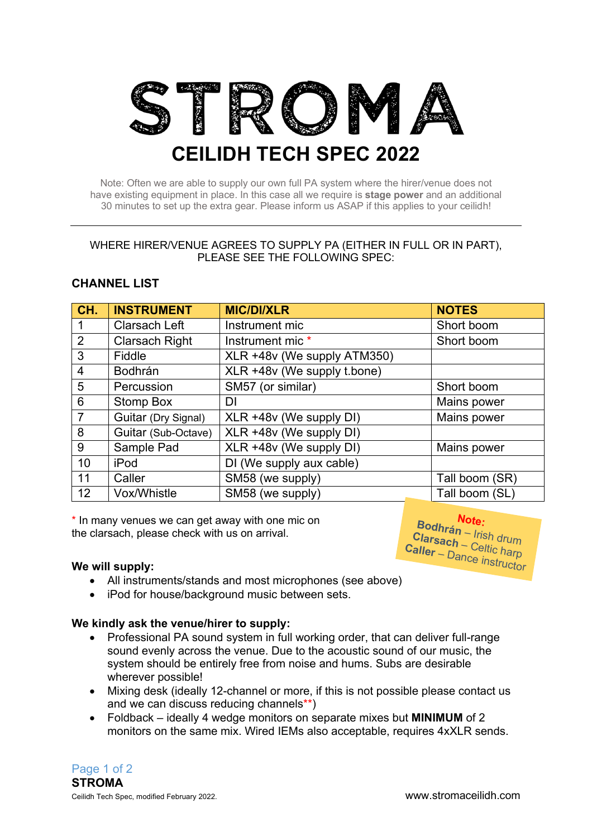

Note: Often we are able to supply our own full PA system where the hirer/venue does not have existing equipment in place. In this case all we require is **stage power** and an additional 30 minutes to set up the extra gear. Please inform us ASAP if this applies to your ceilidh!

#### WHERE HIRER/VENUE AGREES TO SUPPLY PA (EITHER IN FULL OR IN PART), PLEASE SEE THE FOLLOWING SPEC:

# **CHANNEL LIST**

| CH.            | <b>INSTRUMENT</b>     | <b>MIC/DI/XLR</b>           | <b>NOTES</b>   |
|----------------|-----------------------|-----------------------------|----------------|
|                | Clarsach Left         | Instrument mic              | Short boom     |
| $\overline{2}$ | <b>Clarsach Right</b> | Instrument mic *            | Short boom     |
| 3              | Fiddle                | XLR +48v (We supply ATM350) |                |
| 4              | <b>Bodhrán</b>        | XLR +48v (We supply t.bone) |                |
| 5              | Percussion            | SM57 (or similar)           | Short boom     |
| 6              | Stomp Box             | DI                          | Mains power    |
| $\overline{7}$ | Guitar (Dry Signal)   | XLR +48v (We supply DI)     | Mains power    |
| 8              | Guitar (Sub-Octave)   | XLR +48v (We supply DI)     |                |
| 9              | Sample Pad            | XLR +48v (We supply DI)     | Mains power    |
| 10             | iPod                  | DI (We supply aux cable)    |                |
| 11             | Caller                | SM58 (we supply)            | Tall boom (SR) |
| 12             | Vox/Whistle           | SM58 (we supply)            | Tall boom (SL) |

\* In many venues we can get away with one mic on the clarsach, please check with us on arrival.

#### **We will supply:**

- All instruments/stands and most microphones (see above)
- iPod for house/background music between sets.

### **We kindly ask the venue/hirer to supply:**

- Professional PA sound system in full working order, that can deliver full-range sound evenly across the venue. Due to the acoustic sound of our music, the system should be entirely free from noise and hums. Subs are desirable wherever possible!
- Mixing desk (ideally 12-channel or more, if this is not possible please contact us and we can discuss reducing channels\*\*)
- Foldback ideally 4 wedge monitors on separate mixes but **MINIMUM** of 2 monitors on the same mix. Wired IEMs also acceptable, requires 4xXLR sends.

Page 1 of 2 **STROMA**  Ceilidh Tech Spec, modified February 2022. www.stromaceilidh.com

**Note**

**Caller** - Dance instructor a**cn** – Celtic harp<br>– Dance in charp

– Irish drum

**Bodhrán : Clarsach**